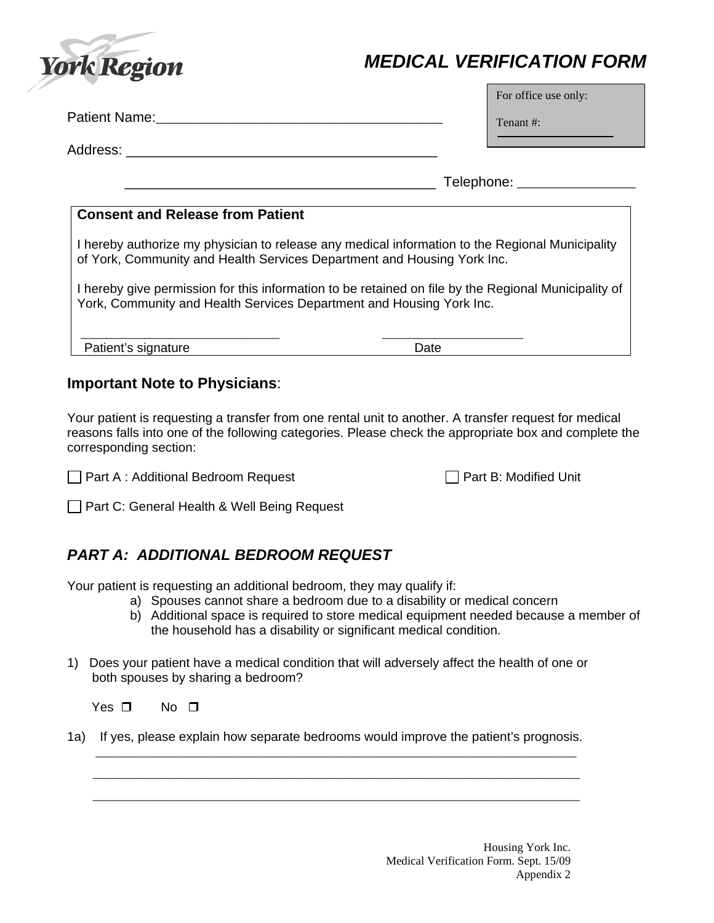

# *MEDICAL VERIFICATION FORM*

For office use only:

Patient Name: Tenant #: \_\_\_\_\_\_\_\_\_\_\_\_\_\_\_\_\_\_\_\_\_\_\_\_\_\_\_\_\_\_\_\_\_\_\_\_\_\_\_\_\_

Address: \_\_\_\_\_\_\_\_\_\_\_\_\_\_\_\_\_\_\_\_\_\_\_\_\_\_\_\_\_\_\_\_\_\_\_\_\_\_\_\_

\_\_\_\_\_\_\_\_\_\_\_\_\_\_\_\_\_\_\_\_\_\_\_\_\_\_\_\_\_\_\_\_\_\_\_\_\_\_\_\_ Telephone: \_\_\_\_\_\_\_\_\_\_\_\_\_\_\_\_\_

#### **Consent and Release from Patient**

I hereby authorize my physician to release any medical information to the Regional Municipality of York, Community and Health Services Department and Housing York Inc.

I hereby give permission for this information to be retained on file by the Regional Municipality of York, Community and Health Services Department and Housing York Inc.

Patient's signature Date Date

\_\_\_\_\_\_\_\_\_\_\_\_\_\_\_\_\_\_\_\_\_\_\_\_\_\_\_\_\_\_\_ \_\_\_\_\_\_\_\_\_\_\_\_\_\_\_\_\_\_\_\_\_\_

#### **Important Note to Physicians**:

Your patient is requesting a transfer from one rental unit to another. A transfer request for medical reasons falls into one of the following categories. Please check the appropriate box and complete the corresponding section:

□ Part A : Additional Bedroom Request Part B: Modified Unit

Part C: General Health & Well Being Request

### *PART A: ADDITIONAL BEDROOM REQUEST*

Your patient is requesting an additional bedroom, they may qualify if:

- a) Spouses cannot share a bedroom due to a disability or medical concern
- b) Additional space is required to store medical equipment needed because a member of the household has a disability or significant medical condition.
- 1) Does your patient have a medical condition that will adversely affect the health of one or both spouses by sharing a bedroom?

Yes  $\square$  No  $\square$ 

1a) If yes, please explain how separate bedrooms would improve the patient's prognosis. \_\_\_\_\_\_\_\_\_\_\_\_\_\_\_\_\_\_\_\_\_\_\_\_\_\_\_\_\_\_\_\_\_\_\_\_\_\_\_\_\_\_\_\_\_\_\_\_\_\_\_\_\_\_\_\_\_\_\_\_\_\_\_\_\_\_\_\_\_\_\_\_\_\_\_

 \_\_\_\_\_\_\_\_\_\_\_\_\_\_\_\_\_\_\_\_\_\_\_\_\_\_\_\_\_\_\_\_\_\_\_\_\_\_\_\_\_\_\_\_\_\_\_\_\_\_\_\_\_\_\_\_\_\_\_\_\_\_\_\_\_\_\_\_\_\_\_\_\_\_\_\_ \_\_\_\_\_\_\_\_\_\_\_\_\_\_\_\_\_\_\_\_\_\_\_\_\_\_\_\_\_\_\_\_\_\_\_\_\_\_\_\_\_\_\_\_\_\_\_\_\_\_\_\_\_\_\_\_\_\_\_\_\_\_\_\_\_\_\_\_\_\_\_\_\_\_\_\_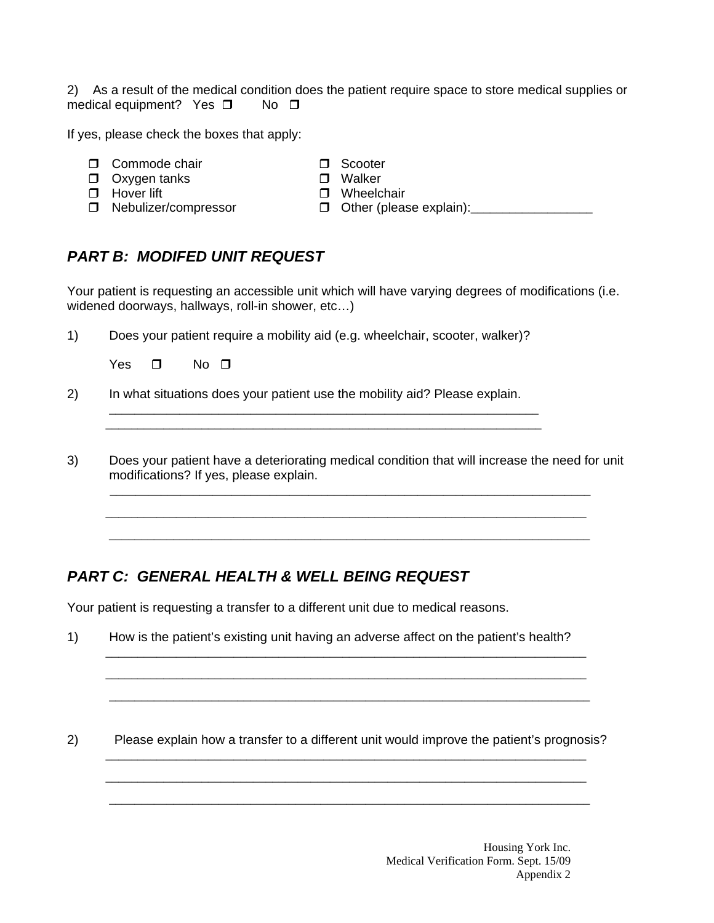2) As a result of the medical condition does the patient require space to store medical supplies or medical equipment? Yes  $\square$  No  $\square$ 

If yes, please check the boxes that apply:

- 
- Commode chair Scooter  $\Box$  Oxygen tanks
- $\Box$  Hover lift  $\Box$  Wheelchair
- 
- 
- 
- $\Box$  Nebulizer/compressor  $\Box$  Other (please explain): \_\_\_\_\_\_\_\_\_\_\_\_\_\_\_\_\_\_\_\_\_\_\_\_\_
- 
- *PART B: MODIFED UNIT REQUEST*

Your patient is requesting an accessible unit which will have varying degrees of modifications (i.e. widened doorways, hallways, roll-in shower, etc…)

1) Does your patient require a mobility aid (e.g. wheelchair, scooter, walker)?

Yes  $\Box$  No  $\P$ 

2) In what situations does your patient use the mobility aid? Please explain.

\_\_\_\_\_\_\_\_\_\_\_\_\_\_\_\_\_\_\_\_\_\_\_\_\_\_\_\_\_\_\_\_\_\_\_\_\_\_\_\_\_\_\_\_\_\_\_\_\_\_\_\_\_\_\_\_\_\_\_\_\_\_\_\_\_\_\_\_

\_\_\_\_\_\_\_\_\_\_\_\_\_\_\_\_\_\_\_\_\_\_\_\_\_\_\_\_\_\_\_\_\_\_\_\_\_\_\_\_\_\_\_\_\_\_\_\_\_\_\_\_\_\_\_\_\_\_\_\_\_\_\_\_\_\_\_

 \_\_\_\_\_\_\_\_\_\_\_\_\_\_\_\_\_\_\_\_\_\_\_\_\_\_\_\_\_\_\_\_\_\_\_\_\_\_\_\_\_\_\_\_\_\_\_\_\_\_\_\_\_\_\_\_\_\_\_\_\_\_\_\_\_\_\_\_\_\_\_\_\_\_\_ \_\_\_\_\_\_\_\_\_\_\_\_\_\_\_\_\_\_\_\_\_\_\_\_\_\_\_\_\_\_\_\_\_\_\_\_\_\_\_\_\_\_\_\_\_\_\_\_\_\_\_\_\_\_\_\_\_\_\_\_\_\_\_\_\_\_\_\_\_\_\_\_\_\_\_

3) Does your patient have a deteriorating medical condition that will increase the need for unit modifications? If yes, please explain.

\_\_\_\_\_\_\_\_\_\_\_\_\_\_\_\_\_\_\_\_\_\_\_\_\_\_\_\_\_\_\_\_\_\_\_\_\_\_\_\_\_\_\_\_\_\_\_\_\_\_\_\_\_\_\_\_\_\_\_\_\_\_\_\_\_\_\_\_\_\_\_\_\_\_\_

## *PART C: GENERAL HEALTH & WELL BEING REQUEST*

Your patient is requesting a transfer to a different unit due to medical reasons.

1) How is the patient's existing unit having an adverse affect on the patient's health?

 \_\_\_\_\_\_\_\_\_\_\_\_\_\_\_\_\_\_\_\_\_\_\_\_\_\_\_\_\_\_\_\_\_\_\_\_\_\_\_\_\_\_\_\_\_\_\_\_\_\_\_\_\_\_\_\_\_\_\_\_\_\_\_\_\_\_\_\_\_\_\_\_\_\_\_ \_\_\_\_\_\_\_\_\_\_\_\_\_\_\_\_\_\_\_\_\_\_\_\_\_\_\_\_\_\_\_\_\_\_\_\_\_\_\_\_\_\_\_\_\_\_\_\_\_\_\_\_\_\_\_\_\_\_\_\_\_\_\_\_\_\_\_\_\_\_\_\_\_\_\_

2) Please explain how a transfer to a different unit would improve the patient's prognosis? \_\_\_\_\_\_\_\_\_\_\_\_\_\_\_\_\_\_\_\_\_\_\_\_\_\_\_\_\_\_\_\_\_\_\_\_\_\_\_\_\_\_\_\_\_\_\_\_\_\_\_\_\_\_\_\_\_\_\_\_\_\_\_\_\_\_\_\_\_\_\_\_\_\_\_

\_\_\_\_\_\_\_\_\_\_\_\_\_\_\_\_\_\_\_\_\_\_\_\_\_\_\_\_\_\_\_\_\_\_\_\_\_\_\_\_\_\_\_\_\_\_\_\_\_\_\_\_\_\_\_\_\_\_\_\_\_\_\_\_\_\_\_\_\_\_\_\_\_\_\_

\_\_\_\_\_\_\_\_\_\_\_\_\_\_\_\_\_\_\_\_\_\_\_\_\_\_\_\_\_\_\_\_\_\_\_\_\_\_\_\_\_\_\_\_\_\_\_\_\_\_\_\_\_\_\_\_\_\_\_\_\_\_\_\_\_\_\_\_\_\_\_\_\_\_\_

\_\_\_\_\_\_\_\_\_\_\_\_\_\_\_\_\_\_\_\_\_\_\_\_\_\_\_\_\_\_\_\_\_\_\_\_\_\_\_\_\_\_\_\_\_\_\_\_\_\_\_\_\_\_\_\_\_\_\_\_\_\_\_\_\_\_\_\_\_\_\_\_\_\_\_

Housing York Inc. Medical Verification Form. Sept. 15/09 Appendix 2